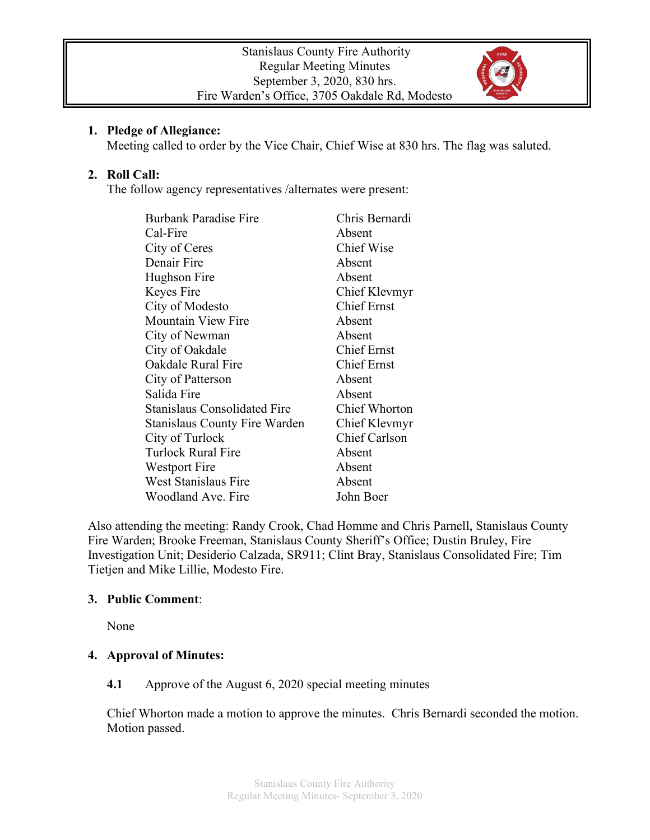

### **1. Pledge of Allegiance:**

Meeting called to order by the Vice Chair, Chief Wise at 830 hrs. The flag was saluted.

### **2. Roll Call:**

The follow agency representatives /alternates were present:

| <b>Burbank Paradise Fire</b>         | Chris Bernardi       |
|--------------------------------------|----------------------|
| Cal-Fire                             | Absent               |
| City of Ceres                        | <b>Chief Wise</b>    |
| Denair Fire                          | Absent               |
| Hughson Fire                         | Absent               |
| Keyes Fire                           | Chief Klevmyr        |
| City of Modesto                      | <b>Chief Ernst</b>   |
| <b>Mountain View Fire</b>            | Absent               |
| City of Newman                       | Absent               |
| City of Oakdale                      | <b>Chief Ernst</b>   |
| Oakdale Rural Fire                   | <b>Chief Ernst</b>   |
| City of Patterson                    | Absent               |
| Salida Fire                          | Absent               |
| <b>Stanislaus Consolidated Fire</b>  | <b>Chief Whorton</b> |
| <b>Stanislaus County Fire Warden</b> | Chief Klevmyr        |
| City of Turlock                      | Chief Carlson        |
| Turlock Rural Fire                   | Absent               |
| Westport Fire                        | Absent               |
| <b>West Stanislaus Fire</b>          | Absent               |
| Woodland Ave. Fire                   | John Boer            |

Also attending the meeting: Randy Crook, Chad Homme and Chris Parnell, Stanislaus County Fire Warden; Brooke Freeman, Stanislaus County Sheriff's Office; Dustin Bruley, Fire Investigation Unit; Desiderio Calzada, SR911; Clint Bray, Stanislaus Consolidated Fire; Tim Tietjen and Mike Lillie, Modesto Fire.

#### **3. Public Comment**:

None

### **4. Approval of Minutes:**

### **4.1** Approve of the August 6, 2020 special meeting minutes

Chief Whorton made a motion to approve the minutes. Chris Bernardi seconded the motion. Motion passed.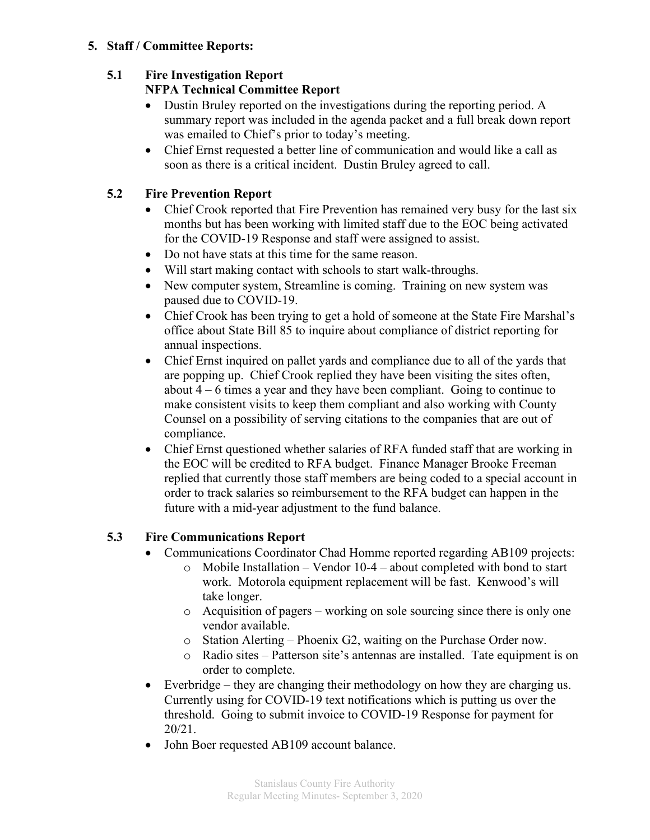### **5. Staff / Committee Reports:**

# **5.1 Fire Investigation Report**

### **NFPA Technical Committee Report**

- Dustin Bruley reported on the investigations during the reporting period. A summary report was included in the agenda packet and a full break down report was emailed to Chief's prior to today's meeting.
- Chief Ernst requested a better line of communication and would like a call as soon as there is a critical incident. Dustin Bruley agreed to call.

## **5.2 Fire Prevention Report**

- Chief Crook reported that Fire Prevention has remained very busy for the last six months but has been working with limited staff due to the EOC being activated for the COVID-19 Response and staff were assigned to assist.
- Do not have stats at this time for the same reason.
- Will start making contact with schools to start walk-throughs.
- New computer system, Streamline is coming. Training on new system was paused due to COVID-19.
- Chief Crook has been trying to get a hold of someone at the State Fire Marshal's office about State Bill 85 to inquire about compliance of district reporting for annual inspections.
- Chief Ernst inquired on pallet yards and compliance due to all of the yards that are popping up. Chief Crook replied they have been visiting the sites often, about 4 – 6 times a year and they have been compliant. Going to continue to make consistent visits to keep them compliant and also working with County Counsel on a possibility of serving citations to the companies that are out of compliance.
- Chief Ernst questioned whether salaries of RFA funded staff that are working in the EOC will be credited to RFA budget. Finance Manager Brooke Freeman replied that currently those staff members are being coded to a special account in order to track salaries so reimbursement to the RFA budget can happen in the future with a mid-year adjustment to the fund balance.

## **5.3 Fire Communications Report**

- Communications Coordinator Chad Homme reported regarding AB109 projects:
	- o Mobile Installation Vendor 10-4 about completed with bond to start work. Motorola equipment replacement will be fast. Kenwood's will take longer.
	- o Acquisition of pagers working on sole sourcing since there is only one vendor available.
	- o Station Alerting Phoenix G2, waiting on the Purchase Order now.
	- o Radio sites Patterson site's antennas are installed. Tate equipment is on order to complete.
- Everbridge they are changing their methodology on how they are charging us. Currently using for COVID-19 text notifications which is putting us over the threshold. Going to submit invoice to COVID-19 Response for payment for 20/21.
- John Boer requested AB109 account balance.